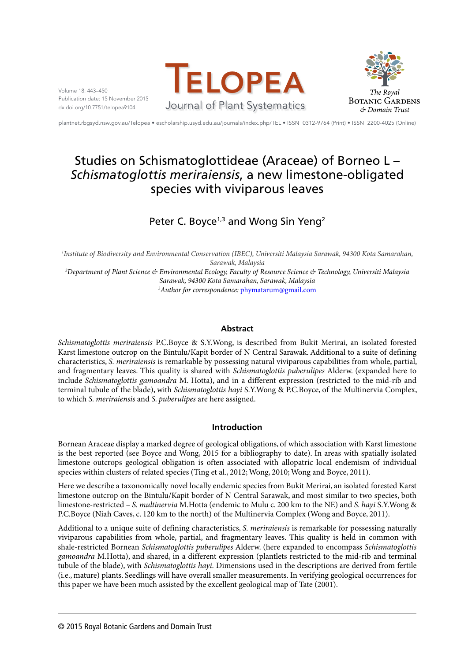Volume 18: 443–450 Publication date: 15 November 2015 dx.doi.org/10.7751/telopea9104





plantnet.rbgsyd.nsw.gov.au/Telopea • escholarship.usyd.edu.au/journals/index.php/TEL • ISSN 0312-9764 (Print) • ISSN 2200-4025 (Online)

# Studies on Schismatoglottideae (Araceae) of Borneo L – *Schismatoglottis meriraiensis*, a new limestone-obligated species with viviparous leaves

# Peter C. Boyce<sup>1,3</sup> and Wong Sin Yeng<sup>2</sup>

*1 Institute of Biodiversity and Environmental Conservation (IBEC), Universiti Malaysia Sarawak, 94300 Kota Samarahan, Sarawak, Malaysia*

*2 Department of Plant Science & Environmental Ecology, Faculty of Resource Science & Technology, Universiti Malaysia Sarawak, 94300 Kota Samarahan, Sarawak, Malaysia 3 Author for correspondence:* phymatarum@gmail.com

# **Abstract**

*Schismatoglottis meriraiensis* P.C.Boyce & S.Y.Wong, is described from Bukit Merirai, an isolated forested Karst limestone outcrop on the Bintulu/Kapit border of N Central Sarawak. Additional to a suite of defining characteristics, *S. meriraiensis* is remarkable by possessing natural viviparous capabilities from whole, partial, and fragmentary leaves. This quality is shared with *Schismatoglottis puberulipes* Alderw. (expanded here to include *Schismatoglottis gamoandra* M. Hotta), and in a different expression (restricted to the mid-rib and terminal tubule of the blade), with *Schismatoglottis hayi* S.Y.Wong & P.C.Boyce, of the Multinervia Complex, to which *S. meriraiensis* and *S. puberulipes* are here assigned.

# **Introduction**

Bornean Araceae display a marked degree of geological obligations, of which association with Karst limestone is the best reported (see Boyce and Wong, 2015 for a bibliography to date). In areas with spatially isolated limestone outcrops geological obligation is often associated with allopatric local endemism of individual species within clusters of related species (Ting et al., 2012; Wong, 2010; Wong and Boyce, 2011).

Here we describe a taxonomically novel locally endemic species from Bukit Merirai, an isolated forested Karst limestone outcrop on the Bintulu/Kapit border of N Central Sarawak, and most similar to two species, both limestone-restricted – *S. multinervia* M.Hotta (endemic to Mulu c. 200 km to the NE) and *S. hayi* S.Y.Wong & P.C.Boyce (Niah Caves, c. 120 km to the north) of the Multinervia Complex (Wong and Boyce, 2011).

Additional to a unique suite of defining characteristics, *S. meriraiensis* is remarkable for possessing naturally viviparous capabilities from whole, partial, and fragmentary leaves. This quality is held in common with shale-restricted Bornean *Schismatoglottis puberulipes* Alderw. (here expanded to encompass *Schismatoglottis gamoandra* M.Hotta), and shared, in a different expression (plantlets restricted to the mid-rib and terminal tubule of the blade), with *Schismatoglottis hayi*. Dimensions used in the descriptions are derived from fertile (i.e., mature) plants. Seedlings will have overall smaller measurements. In verifying geological occurrences for this paper we have been much assisted by the excellent geological map of Tate (2001).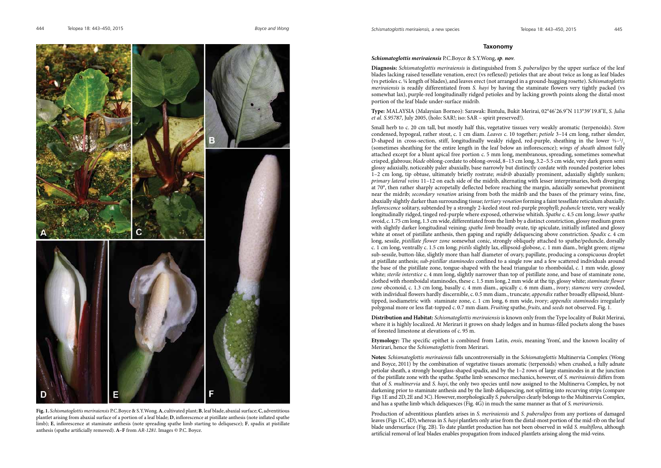## **Taxonomy**

*Schismatoglottis meriraiensis* P.C.Boyce & S.Y.Wong, *sp. nov.*

**Diagnosis:** *Schismatoglottis meriraiensis* is distinguished from *S. puberulipes* by the upper surface of the leaf blades lacking raised tessellate venation, erect (vs reflexed) petioles that are about twice as long as leaf blades (vs petioles c. ¼ length of blades), and leaves erect (not arranged in a ground-hugging rosette). *Schismatoglottis meriraiensis* is readily differentiated from *S. hayi* by having the staminate flowers very tightly packed (vs somewhat lax), purple-red longitudinally ridged petioles and by lacking growth points along the distal-most portion of the leaf blade under-surface midrib.

**Type:** MALAYSIA (Malaysian Borneo): Sarawak: Bintulu, Bukit Merirai, 02°46'26.9"N 113°39'19.8"E, *S. Julia et al. S.95787*, July 2005, (holo: SAR!; iso: SAR – spirit preserved!).

Small herb to c. 20 cm tall, but mostly half this, vegetative tissues very weakly aromatic (terpenoids). *Stem*  condensed, hypogeal, rather stout, c. 1 cm diam. *Leaves* c. 10 together; *petiole* 3–14 cm long, rather slender, D-shaped in cross-section, stiff, longitudinally weakly ridged, red-purple, sheathing in the lower 1/3-2/<sub>5</sub> (sometimes sheathing for the entire length in the leaf below an inflorescence); *wings of sheath* almost fully attached except for a blunt apical free portion c. 5 mm long, membranous, spreading, sometimes somewhat crisped, glabrous; *blade* oblong-cordate to oblong-ovoid, 8–13 cm long, 3.2–5.5 cm wide, very dark green semi glossy adaxially, noticeably paler abaxially, base narrowly but distinctly cordate with rounded posterior lobes 1–2 cm long, tip obtuse, ultimately briefly rostrate; *midrib* abaxially prominent, adaxially slightly sunken; *primary lateral veins* 11–12 on each side of the midrib, alternating with lesser interprimaries, both diverging at 70°, then rather sharply acropetally deflected before reaching the margin, adaxially somewhat prominent near the midrib; *secondary venation* arising from both the midrib and the bases of the primary veins, fine, abaxially slightly darker than surrounding tissue; *tertiary venation* forming a faint tessellate reticulum abaxially. *Inflorescence* solitary, subtended by a strongly 2-keeled stout red-purple prophyll; *peduncle* terete, very weakly longitudinally ridged, tinged red-purple where exposed, otherwise whitish. *Spathe* c. 4.5 cm long; *lower spathe* ovoid, c. 1.75 cm long, 1.3 cm wide, differentiated from the limb by a distinct constriction, glossy medium green with slightly darker longitudinal veining; *spathe limb* broadly ovate, tip apiculate, initially inflated and glossy white at onset of pistillate anthesis, then gaping and rapidly deliquescing above constriction. *Spadix c.* 4 cm long, sessile, *pistillate flower zone* somewhat conic, strongly obliquely attached to spathe/peduncle, dorsally c. 1 cm long, ventrally c. 1.5 cm long; *pistils* slightly lax, ellipsoid-globose, c. 1 mm diam., bright green; *stigma* sub-sessile, button-like, slightly more than half diameter of ovary, papillate, producing a conspicuous droplet at pistillate anthesis; *sub-pistillar staminodes* confined to a single row and a few scattered individuals around the base of the pistillate zone, tongue-shaped with the head triangular to rhomboidal, c. 1 mm wide, glossy white; *sterile interstice* c. 4 mm long, slightly narrower than top of pistillate zone, and base of staminate zone, clothed with rhomboidal staminodes, these c. 1.5 mm long, 2 mm wide at the tip, glossy white; *staminate flower zone* obconoid, c. 1.3 cm long, basally c. 4 mm diam., apically c. 6 mm diam., ivory; *stamens* very crowded, with individual flowers hardly discernible, c. 0.5 mm diam., truncate; *appendix* rather broadly ellipsoid, blunttipped, isodiametric with staminate zone, c. 1 cm long, 6 mm wide, ivory; *appendix staminodes* irregularly polygonal more or less flat-topped c. 0.7 mm diam. *Fruiting* spathe, *fruits*, and *seeds* not observed. Fig. 1.

**Distribution and Habitat:** *Schismatoglottis meriraiensis* is known only from the Type locality of Bukit Merirai, where it is highly localized. At Merirari it grows on shady ledges and in humus-filled pockets along the bases of forested limestone at elevations of c. 95 m.

**Etymology:** The specific epithet is combined from Latin, *ensis*, meaning 'from', and the known locality of Merirari, hence the *Schismatoglottis* from Merirari.

**Notes:** *Schismatoglottis meriraiensis* falls uncontroversially in the *Schismatoglottis* Multinervia Complex (Wong and Boyce, 2011) by the combination of vegetative tissues aromatic (terpenoids) when crushed, a fully adnate petiolar sheath, a strongly hourglass-shaped spadix, and by the 1–2 rows of large staminodes in at the junction of the pistillate zone with the spathe. Spathe limb senescence mechanics, however, of *S. meriraiensis* differs from that of *S. multinervia* and *S. hayi*, the only two species until now assigned to the Multinerva Complex, by not darkening prior to staminate anthesis and by the limb deliquescing, not splitting into recurving strips (compare Figs 1E and 2D, 2E and 3C). However, morphologically *S. puberulipes* clearly belongs to the Multinervia Complex, and has a spathe limb which deliquesces (Fig. 4G) in much the same manner as that of *S. merirariensis*.

Production of adventitious plantlets arises in *S. meriraiensis* and *S. puberulipes* from any portions of damaged leaves (Figs 1C, 4D), whereas in *S. hayi* plantlets only arise from the distal-most portion of the mid-rib on the leaf blade undersurface (Fig. 2B). To date plantlet production has not been observed in wild *S. multiflora*, although artificial removal of leaf blades enables propagation from induced plantlets arising along the mid-veins.



**Fig. 1.** *Schismatoglottis meriraiensis* P.C.Boyce & S.Y.Wong. **A**, cultivated plant; **B**, leaf blade, abaxial surface; **C**, adventitious plantlet arising from abaxial surface of a portion of a leaf blade; **D**, inflorescence at pistillate anthesis (note inflated spathe limb); **E**, inflorescence at staminate anthesis (note spreading spathe limb starting to deliquesce); **F**, spadix at pistillate anthesis (spathe artificially removed). **A–F** from *AR-1281*. Images © P.C. Boyce.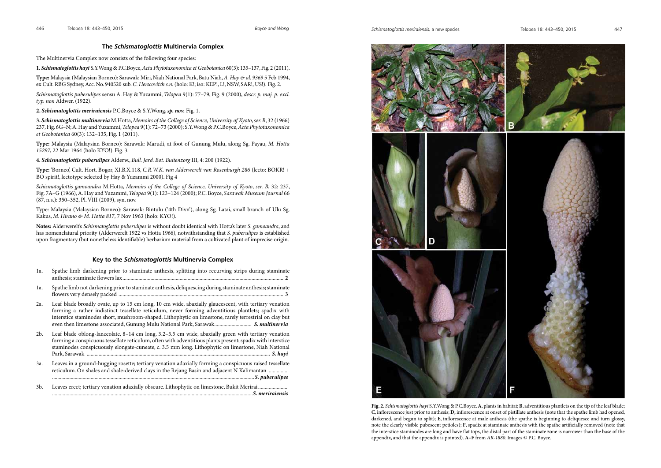

**Fig. 2.** *Schismatoglottis hayi* S.Y.Wong & P.C.Boyce. **A**, plants in habitat; **B**, adventitious plantlets on the tip of the leaf blade; **C**, inflorescence just prior to anthesis; **D,** inflorescence at onset of pistillate anthesis (note that the spathe limb had opened, darkened, and begun to split); **E**, inflorescence at male anthesis (the spathe is beginning to deliquesce and turn glossy, note the clearly visible pubescent petioles); **F**, spadix at staminate anthesis with the spathe artificially removed (note that the interstice staminodes are long and have flat tops, the distal part of the staminate zone is narrower than the base of the appendix, and that the appendix is pointed). **A–F** from *AR-1880*. Images © P.C. Boyce.

# **The** *Schismatoglottis* **Multinervia Complex**

The Multinervia Complex now consists of the following four species:

**1.** *Schismatoglottis hayi* S.Y.Wong & P.C.Boyce, *Acta Phytotaxonomica et Geobotanica* 60(3): 135–137, Fig. 2 (2011).

**Type:** Malaysia (Malaysian Borneo): Sarawak: Miri, Niah National Park, Batu Niah, *A. Hay & al. 9369* 5 Feb 1994, ex Cult. RBG Sydney, Acc. No. 940520 sub. *C. Herscovitch s.n.* (holo: K!; iso: KEP!, L!, NSW, SAR!, US!). Fig. 2.

*Schismatoglottis puberulipes* sensu A. Hay & Yuzammi, *Telopea* 9(1): 77–79, Fig. 9 (2000), *descr. p. maj. p. excl. typ. non* Aldwer. (1922).

**2.** *Schismatoglottis meriraiensis* P.C.Boyce & S.Y.Wong, *sp. nov.* Fig. 1.

**3.** *Schismatoglottis multinervia* M.Hotta, *Memoirs of the College of Science, University of Kyoto*, *ser. B*, 32 (1966) 237, Fig. 6G–N; A. Hay and Yuzammi, *Telopea* 9(1): 72–73 (2000); S.Y.Wong & P.C.Boyce, *Acta Phytotaxonomica et Geobotanica* 60(3): 132–135, Fig. 1 (2011).

**Type:** Malaysia (Malaysian Borneo): Sarawak: Marudi, at foot of Gunung Mulu, along Sg. Payau, *M. Hotta 15297*, 22 Mar 1964 (holo KYO!). Fig. 3.

**4.** *Schismatoglottis puberulipes* Alderw., *Bull. Jard. Bot. Buitenzorg* III, 4: 200 (1922).

**Type:** 'Borneo', Cult. Hort. Bogor, XI.B.X.118, *C.R.W.K. van Alderwerelt van Rosenburgh 286* (lecto: BOKR! + BO spirit!, lectotype selected by Hay & Yuzammi 2000). Fig 4

*Schismatoglottis gamoandra* M.Hotta, *Memoirs of the College of Science, University of Kyoto*, *ser. B*, 32: 237, Fig. 7A–G (1966), A. Hay and Yuzammi, *Telopea* 9(1): 123–124 (2000); P.C. Boyce, *Sarawak Museum Journal* 66 (87, n.s.): 350–352, Pl. VIII (2009), syn. nov.

Type: Malaysia (Malaysian Borneo): Sarawak: Bintulu ('4th Divn'), along Sg. Latai, small branch of Ulu Sg. Kakus, *M. Hirano & M. Hotta 817*, 7 Nov 1963 (holo: KYO!).

3b. Leaves erect; tertiary venation adaxially obscure. Lithophytic on limestone, Bukit Merirai......... .......................................................................................................................................................*S. meriraiensis*

**Notes:** Alderwerelt's *Schismatoglottis puberulipes* is without doubt identical with Hotta's later *S. gamoandra*, and has nomenclatural priority (Alderwerelt 1922 vs Hotta 1966), notwithstanding that *S. puberulipes* is established upon fragmentary (but nonetheless identifiable) herbarium material from a cultivated plant of imprecise origin.

# **Key to the** *Schismatoglottis* **Multinervia Complex**

- 1a. Spathe limb darkening prior to staminate anthesis, splitting into recurving strips during staminate anthesis; staminate flowers lax......................................................................................................................... **2**
- 1a. Spathe limb not darkening prior to staminate anthesis, deliquescing during staminate anthesis; staminate flowers very densely packed ............................................................................................................................ **3**
- 2a. Leaf blade broadly ovate, up to 15 cm long, 10 cm wide, abaxially glaucescent, with tertiary venation forming a rather indistinct tessellate reticulum, never forming adventitious plantlets; spadix with interstice staminodes short, mushroom-shaped. Lithophytic on limestone, rarely terrestrial on clay but even then limestone associated, Gunung Mulu National Park, Sarawak............................ *S. multinervia*
- 2b. Leaf blade oblong-lanceolate, 8–14 cm long, 3.2–5.5 cm wide, abaxially green with tertiary venation forming a conspicuous tessellate reticulum, often with adventitious plants present; spadix with interstice staminodes conspicuously elongate-cuneate, c. 3.5 mm long. Lithophytic on limestone, Niah National Park, Sarawak .......................................................................................................................................... *S. hayi*
- 3a. Leaves in a ground-hugging rosette; tertiary venation adaxially forming a conspicuous raised tessellate reticulum. On shales and shale-derived clays in the Rejang Basin and adjacent N Kalimantan .............. ........................................................................................................................................................*S. puberulipes*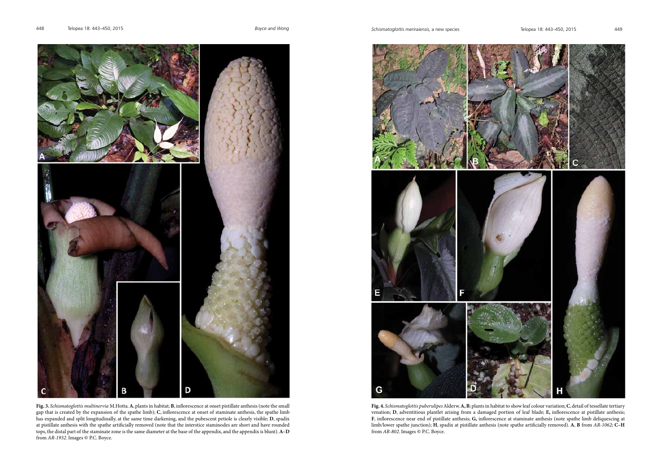

**Fig. 4.** *Schismatoglottis puberulipes* Alderw. **A, B**; plants in habitat to show leaf colour variation; **C**, detail of tessellate tertiary venation; **D**, adventitious plantlet arising from a damaged portion of leaf blade; **E,** inflorescence at pistillate anthesis; **F**, inflorescence near end of pistillate anthesis; **G,** inflorescence at staminate anthesis (note spathe limb deliquescing at limb/lower spathe junction); **H**, spadix at pistillate anthesis (note spathe artificially removed). **A**, **B** from *AR-1062*; **C–H** from AR-802. Images © P.C. Boyce.



**Fig. 3.** *Schismatoglottis multinervia* M.Hotta. **A**, plants in habitat; **B**, inflorescence at onset pistillate anthesis (note the small gap that is created by the expansion of the spathe limb); **C**, inflorescence at onset of staminate anthesis, the spathe limb has expanded and split longitudinally, at the same time darkening, and the pubescent petiole is clearly visible; **D**, spadix at pistillate anthesis with the spathe artificially removed (note that the interstice staminodes are short and have rounded tops, the distal part of the staminate zone is the same diameter at the base of the appendix, and the appendix is blunt). **A–D**  from *AR-1932*. Images © P.C. Boyce.